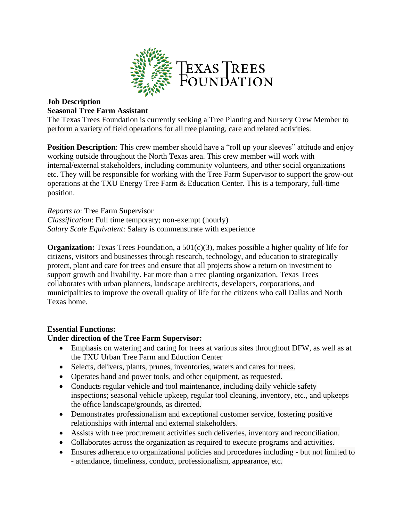

# **Job Description Seasonal Tree Farm Assistant**

The Texas Trees Foundation is currently seeking a Tree Planting and Nursery Crew Member to perform a variety of field operations for all tree planting, care and related activities.

**Position Description**: This crew member should have a "roll up your sleeves" attitude and enjoy working outside throughout the North Texas area. This crew member will work with internal/external stakeholders, including community volunteers, and other social organizations etc. They will be responsible for working with the Tree Farm Supervisor to support the grow-out operations at the TXU Energy Tree Farm & Education Center. This is a temporary, full-time position.

*Reports to*: Tree Farm Supervisor *Classification*: Full time temporary; non-exempt (hourly) *Salary Scale Equivalent*: Salary is commensurate with experience

**Organization:** Texas Trees Foundation, a 501(c)(3), makes possible a higher quality of life for citizens, visitors and businesses through research, technology, and education to strategically protect, plant and care for trees and ensure that all projects show a return on investment to support growth and livability. Far more than a tree planting organization, Texas Trees collaborates with urban planners, landscape architects, developers, corporations, and municipalities to improve the overall quality of life for the citizens who call Dallas and North Texas home.

## **Essential Functions:**

### **Under direction of the Tree Farm Supervisor:**

- Emphasis on watering and caring for trees at various sites throughout DFW, as well as at the TXU Urban Tree Farm and Eduction Center
- Selects, delivers, plants, prunes, inventories, waters and cares for trees.
- Operates hand and power tools, and other equipment, as requested.
- Conducts regular vehicle and tool maintenance, including daily vehicle safety inspections; seasonal vehicle upkeep, regular tool cleaning, inventory, etc., and upkeeps the office landscape/grounds, as directed.
- Demonstrates professionalism and exceptional customer service, fostering positive relationships with internal and external stakeholders.
- Assists with tree procurement activities such deliveries, inventory and reconciliation.
- Collaborates across the organization as required to execute programs and activities.
- Ensures adherence to organizational policies and procedures including but not limited to - attendance, timeliness, conduct, professionalism, appearance, etc.